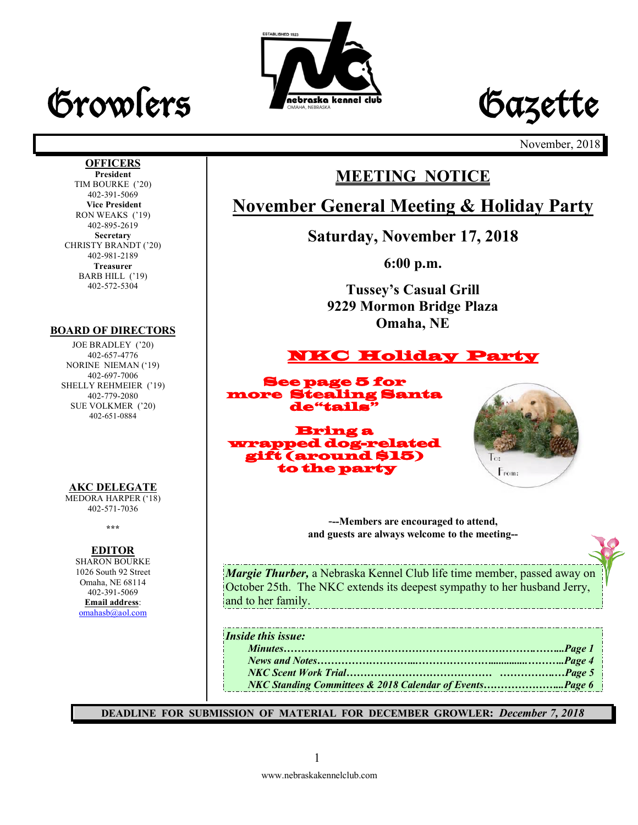# Growlers Frebraska kennel club Gazette





November, 2018

#### **OFFICERS President**

TIM BOURKE ('20) 402-391-5069 **Vice President** RON WEAKS ('19) 402-895-2619 **Secretary** CHRISTY BRANDT ('20) 402-981-2189 **Treasurer** BARB HILL ('19) 402-572-5304

#### **BOARD OF DIRECTORS**

JOE BRADLEY ('20) 402-657-4776 NORINE NIEMAN ('19) 402-697-7006 SHELLY REHMEIER ('19) 402-779-2080 SUE VOLKMER ('20) 402-651-0884

#### **AKC DELEGATE**

MEDORA HARPER ('18) 402-571-7036

**\*\*\***

#### **EDITOR**

SHARON BOURKE 1026 South 92 Street Omaha, NE 68114 402-391-5069 **Email address**: omahasb@aol.com

# **MEETING NOTICE**

# **November General Meeting & Holiday Party**

**Saturday, November 17, 2018**

**6:00 p.m.**

**Tussey's Casual Grill 9229 Mormon Bridge Plaza Omaha, NE**

# NKC Holiday Party

See page 5 for more Stealing Santa de"tails"

Bring a wrapped dog-related gift (around \$15) to the party



-**--Members are encouraged to attend,** 

**and guests are always welcome to the meeting--**

*Margie Thurber,* a Nebraska Kennel Club life time member, passed away on October 25th. The NKC extends its deepest sympathy to her husband Jerry, and to her family.

*Inside this issue:*

| isule inis issue.                                       |  |
|---------------------------------------------------------|--|
|                                                         |  |
|                                                         |  |
|                                                         |  |
| NKC Standing Committees & 2018 Calendar of EventsPage 6 |  |
|                                                         |  |

**DEADLINE FOR SUBMISSION OF MATERIAL FOR DECEMBER GROWLER:** *December 7, 2018*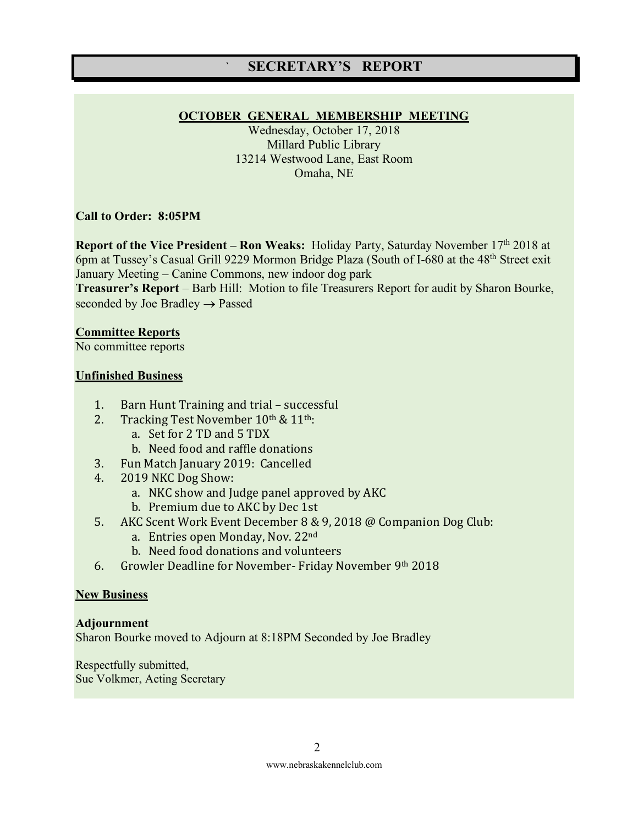### ` **SECRETARY'S REPORT**

#### **OCTOBER GENERAL MEMBERSHIP MEETING**

Wednesday, October 17, 2018 Millard Public Library 13214 Westwood Lane, East Room Omaha, NE

#### **Call to Order: 8:05PM**

**Report of the Vice President – Ron Weaks:** Holiday Party, Saturday November 17<sup>th</sup> 2018 at 6pm at Tussey's Casual Grill 9229 Mormon Bridge Plaza (South of I-680 at the 48<sup>th</sup> Street exit January Meeting – Canine Commons, new indoor dog park

**Treasurer's Report** – Barb Hill: Motion to file Treasurers Report for audit by Sharon Bourke, seconded by Joe Bradley  $\rightarrow$  Passed

#### **Committee Reports**

No committee reports

#### **Unfinished Business**

- 1. Barn Hunt Training and trial successful
- 2. Tracking Test November  $10^{th}$  &  $11^{th}$ :
	- a. Set for 2 TD and 5 TDX
	- b. Need food and raffle donations
- 3. Fun Match January 2019: Cancelled
- 4. 2019 NKC Dog Show:
	- a. NKC show and Judge panel approved by AKC
	- b. Premium due to AKC by Dec 1st
- 5. AKC Scent Work Event December 8 & 9, 2018 @ Companion Dog Club:
	- a. Entries open Monday, Nov. 22<sup>nd</sup>
	- b. Need food donations and volunteers
- 6. Growler Deadline for November- Friday November  $9<sup>th</sup> 2018$

#### **New Business**

#### **Adjournment**

Sharon Bourke moved to Adjourn at 8:18PM Seconded by Joe Bradley

Respectfully submitted, Sue Volkmer, Acting Secretary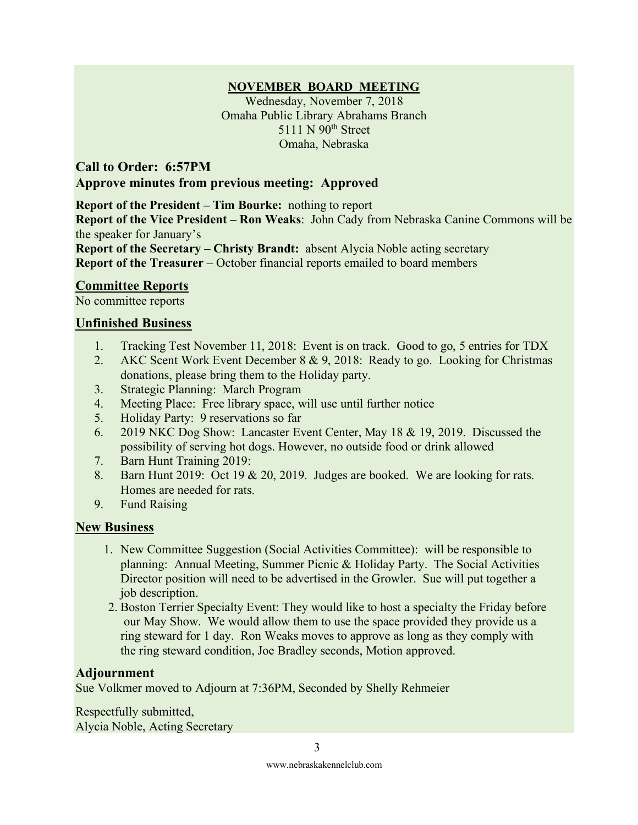#### **NOVEMBER BOARD MEETING**

Wednesday, November 7, 2018 Omaha Public Library Abrahams Branch 5111 N 90<sup>th</sup> Street Omaha, Nebraska

**Call to Order: 6:57PM Approve minutes from previous meeting: Approved** 

**Report of the President – Tim Bourke:** nothing to report

**Report of the Vice President – Ron Weaks**: John Cady from Nebraska Canine Commons will be the speaker for January's

**Report of the Secretary – Christy Brandt:** absent Alycia Noble acting secretary **Report of the Treasurer** – October financial reports emailed to board members

#### **Committee Reports**

No committee reports

#### **Unfinished Business**

- 1. Tracking Test November 11, 2018: Event is on track. Good to go, 5 entries for TDX
- 2. AKC Scent Work Event December 8 & 9, 2018: Ready to go. Looking for Christmas donations, please bring them to the Holiday party.
- 3. Strategic Planning: March Program
- 4. Meeting Place: Free library space, will use until further notice
- 5. Holiday Party: 9 reservations so far
- 6. 2019 NKC Dog Show: Lancaster Event Center, May 18 & 19, 2019. Discussed the possibility of serving hot dogs. However, no outside food or drink allowed
- 7. Barn Hunt Training 2019:
- 8. Barn Hunt 2019: Oct 19 & 20, 2019. Judges are booked. We are looking for rats. Homes are needed for rats.
- 9. Fund Raising

#### **New Business**

- 1. New Committee Suggestion (Social Activities Committee): will be responsible to planning: Annual Meeting, Summer Picnic & Holiday Party. The Social Activities Director position will need to be advertised in the Growler. Sue will put together a job description.
- 2. Boston Terrier Specialty Event: They would like to host a specialty the Friday before our May Show. We would allow them to use the space provided they provide us a ring steward for 1 day. Ron Weaks moves to approve as long as they comply with the ring steward condition, Joe Bradley seconds, Motion approved.

#### **Adjournment**

Sue Volkmer moved to Adjourn at 7:36PM, Seconded by Shelly Rehmeier

Respectfully submitted, Alycia Noble, Acting Secretary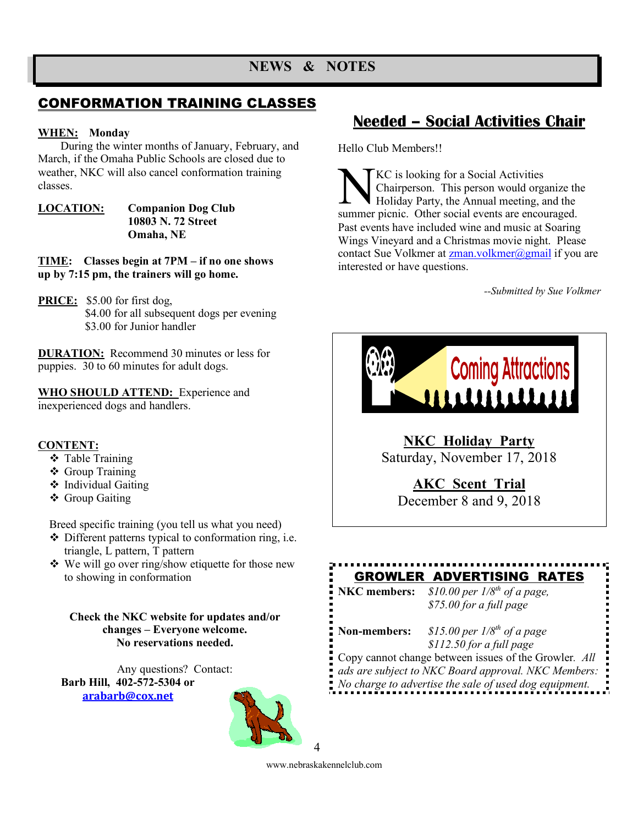## CONFORMATION TRAINING CLASSES

#### **WHEN: Monday**

During the winter months of January, February, and March, if the Omaha Public Schools are closed due to weather, NKC will also cancel conformation training classes.

**LOCATION: Companion Dog Club 10803 N. 72 Street Omaha, NE**

**TIME: Classes begin at 7PM – if no one shows up by 7:15 pm, the trainers will go home.**

**PRICE:** \$5.00 for first dog, \$4.00 for all subsequent dogs per evening \$3.00 for Junior handler

**DURATION:** Recommend 30 minutes or less for puppies. 30 to 60 minutes for adult dogs.

**WHO SHOULD ATTEND:** Experience and inexperienced dogs and handlers.

#### **CONTENT:**

- ❖ Table Training
- ❖ Group Training
- ❖ Individual Gaiting
- ❖ Group Gaiting

Breed specific training (you tell us what you need)

- $\triangle$  Different patterns typical to conformation ring, i.e. triangle, L pattern, T pattern
- $\cdot$  We will go over ring/show etiquette for those new to showing in conformation

**Check the NKC website for updates and/or changes – Everyone welcome. No reservations needed.**

Any questions? Contact: **Barb Hill, 402-572-5304 or arabarb@cox.net**



# **Needed – Social Activities Chair**

Hello Club Members!!

KC is looking for a Social Activities Chairperson. This person would organize the Holiday Party, the Annual meeting, and the KC is looking for a Social Activities<br>Chairperson. This person would organize the<br>Holiday Party, the Annual meeting, and the<br>summer picnic. Other social events are encouraged. Past events have included wine and music at Soaring Wings Vineyard and a Christmas movie night. Please contact Sue Volkmer at **zman**.volkmer@gmail if you are interested or have questions.

*--Submitted by Sue Volkmer*



**NKC Holiday Party** Saturday, November 17, 2018

**AKC Scent Trial**

December 8 and 9, 2018

# GROWLER ADVERTISING RATES

**NKC members:** *\$10.00 per 1/8th of a page, \$75.00 for a full page* 

**Non-members:** *\$15.00 per 1/8th of a page \$112.50 for a full page*

Copy cannot change between issues of the Growler*. All ads are subject to NKC Board approval. NKC Members: No charge to advertise the sale of used dog equipment.*

www.nebraskakennelclub.com

4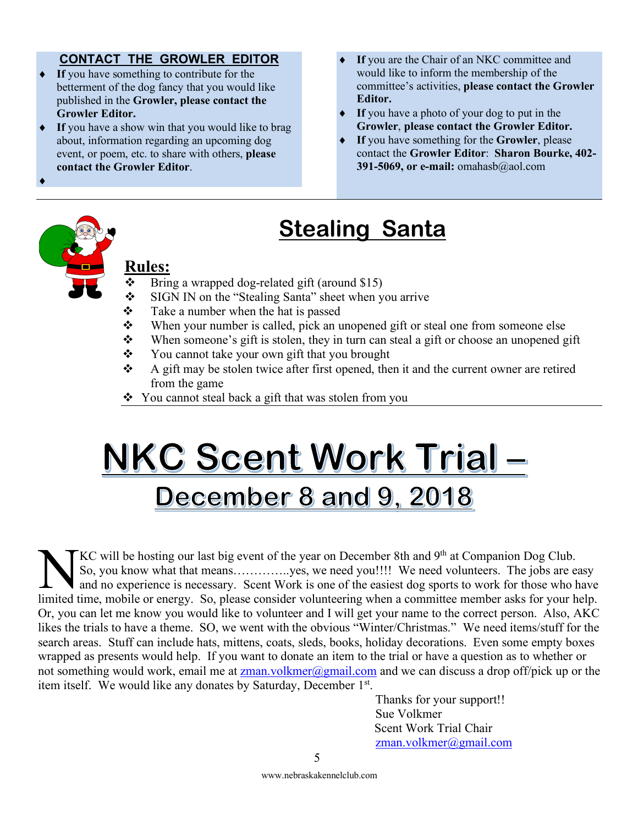#### **CONTACT THE GROWLER EDITOR**

- If you have something to contribute for the betterment of the dog fancy that you would like published in the **Growler, please contact the Growler Editor.**
- If you have a show win that you would like to brag about, information regarding an upcoming dog event, or poem, etc. to share with others, **please contact the Growler Editor**.
- If you are the Chair of an NKC committee and would like to inform the membership of the committee's activities, **please contact the Growler Editor.**
- If you have a photo of your dog to put in the **Growler**, **please contact the Growler Editor.**
- If you have something for the **Growler**, please contact the **Growler Editor**: **Sharon Bourke, 402- 391-5069, or e-mail:** omahasb@aol.com

# **Stealing Santa**

## **Rules:**

 $\blacklozenge$ 

- $\bullet$  Bring a wrapped dog-related gift (around \$15)<br>
SIGN IN on the "Stealing Santa" sheet when y
- SIGN IN on the "Stealing Santa" sheet when you arrive
- $\cdot \cdot$  Take a number when the hat is passed
- $\mathbf{\hat{P}}$  When your number is called, pick an unopened gift or steal one from someone else
- $\mathbf{\hat{P}}$  When someone's gift is stolen, they in turn can steal a gift or choose an unopened gift
- v You cannot take your own gift that you brought<br>A gift may be stolen twice after first opened the
- A gift may be stolen twice after first opened, then it and the current owner are retired from the game
- $\bullet$  You cannot steal back a gift that was stolen from you

# NKC Scent Work Trial-December 8 and 9, 2018

KC will be hosting our last big event of the year on December 8th and 9<sup>th</sup> at Companion Dog Club. So, you know what that means…………..yes, we need you!!!! We need volunteers. The jobs are easy and no experience is necessary. Scent Work is one of the easiest dog sports to work for those who have IF THE SO, you know what that means..................yes, we need you!!!! We need volunteers. The jobs are easy and no experience is necessary. Scent Work is one of the easiest dog sports to work for those who have limited Or, you can let me know you would like to volunteer and I will get your name to the correct person. Also, AKC likes the trials to have a theme. SO, we went with the obvious "Winter/Christmas." We need items/stuff for the search areas. Stuff can include hats, mittens, coats, sleds, books, holiday decorations. Even some empty boxes wrapped as presents would help. If you want to donate an item to the trial or have a question as to whether or not something would work, email me at zman.volkmer@gmail.com and we can discuss a drop off/pick up or the item itself. We would like any donates by Saturday, December 1st.

Thanks for your support!! Sue Volkmer Scent Work Trial Chair zman.volkmer@gmail.com